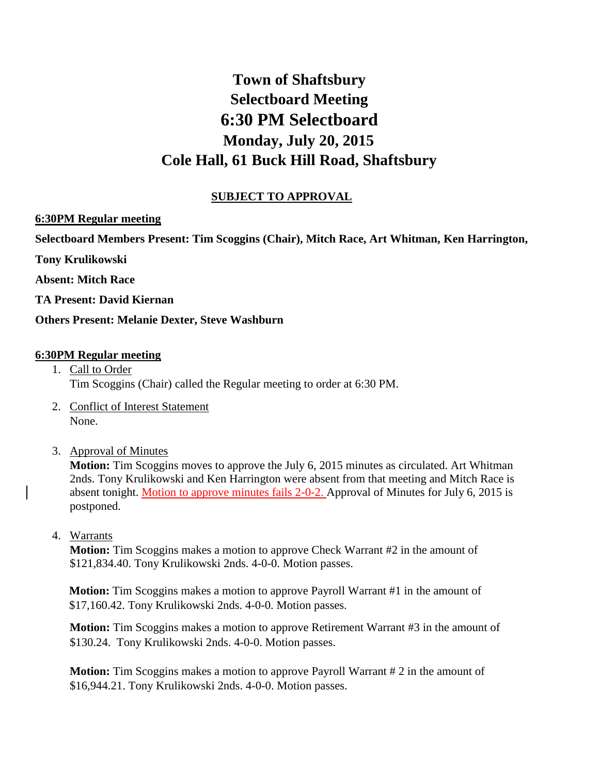# **Town of Shaftsbury Selectboard Meeting 6:30 PM Selectboard Monday, July 20, 2015 Cole Hall, 61 Buck Hill Road, Shaftsbury**

# **SUBJECT TO APPROVAL**

## **6:30PM Regular meeting**

**Selectboard Members Present: Tim Scoggins (Chair), Mitch Race, Art Whitman, Ken Harrington,** 

**Tony Krulikowski**

**Absent: Mitch Race**

**TA Present: David Kiernan**

**Others Present: Melanie Dexter, Steve Washburn**

#### **6:30PM Regular meeting**

- 1. Call to Order Tim Scoggins (Chair) called the Regular meeting to order at 6:30 PM.
- 2. Conflict of Interest Statement None.
- 3. Approval of Minutes

**Motion:** Tim Scoggins moves to approve the July 6, 2015 minutes as circulated. Art Whitman 2nds. Tony Krulikowski and Ken Harrington were absent from that meeting and Mitch Race is absent tonight. Motion to approve minutes fails 2-0-2. Approval of Minutes for July 6, 2015 is postponed.

4. Warrants

**Motion:** Tim Scoggins makes a motion to approve Check Warrant #2 in the amount of \$121,834.40. Tony Krulikowski 2nds. 4-0-0. Motion passes.

**Motion:** Tim Scoggins makes a motion to approve Payroll Warrant #1 in the amount of \$17,160.42. Tony Krulikowski 2nds. 4-0-0. Motion passes.

**Motion:** Tim Scoggins makes a motion to approve Retirement Warrant #3 in the amount of \$130.24. Tony Krulikowski 2nds. 4-0-0. Motion passes.

**Motion:** Tim Scoggins makes a motion to approve Payroll Warrant # 2 in the amount of \$16,944.21. Tony Krulikowski 2nds. 4-0-0. Motion passes.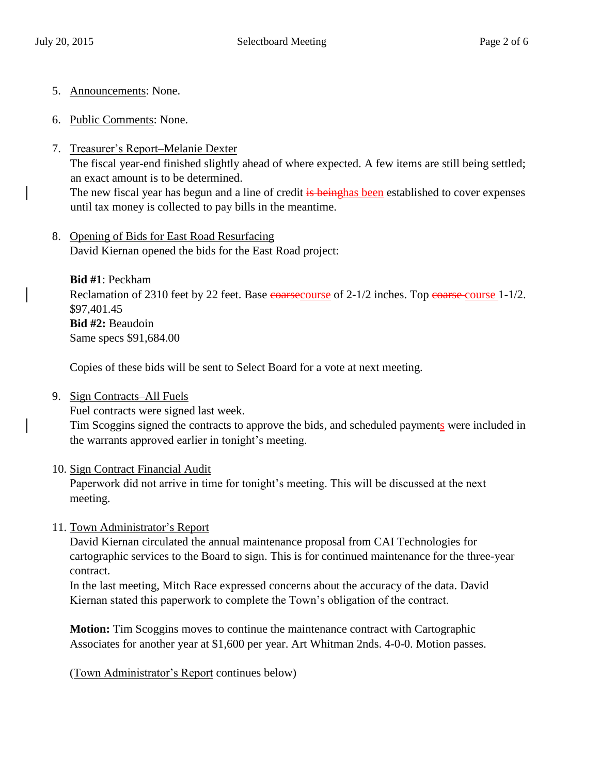- 5. Announcements: None.
- 6. Public Comments: None.
- 7. Treasurer's Report–Melanie Dexter

The fiscal year-end finished slightly ahead of where expected. A few items are still being settled; an exact amount is to be determined.

The new fiscal year has begun and a line of credit is beinghas been established to cover expenses until tax money is collected to pay bills in the meantime.

8. Opening of Bids for East Road Resurfacing David Kiernan opened the bids for the East Road project:

**Bid #1**: Peckham Reclamation of 2310 feet by 22 feet. Base coarsecourse of 2-1/2 inches. Top coarse course 1-1/2. \$97,401.45 **Bid #2:** Beaudoin Same specs \$91,684.00

Copies of these bids will be sent to Select Board for a vote at next meeting.

9. Sign Contracts–All Fuels

Fuel contracts were signed last week.

Tim Scoggins signed the contracts to approve the bids, and scheduled payments were included in the warrants approved earlier in tonight's meeting.

## 10. Sign Contract Financial Audit

Paperwork did not arrive in time for tonight's meeting. This will be discussed at the next meeting.

## 11. Town Administrator's Report

David Kiernan circulated the annual maintenance proposal from CAI Technologies for cartographic services to the Board to sign. This is for continued maintenance for the three-year contract.

In the last meeting, Mitch Race expressed concerns about the accuracy of the data. David Kiernan stated this paperwork to complete the Town's obligation of the contract.

**Motion:** Tim Scoggins moves to continue the maintenance contract with Cartographic Associates for another year at \$1,600 per year. Art Whitman 2nds. 4-0-0. Motion passes.

(Town Administrator's Report continues below)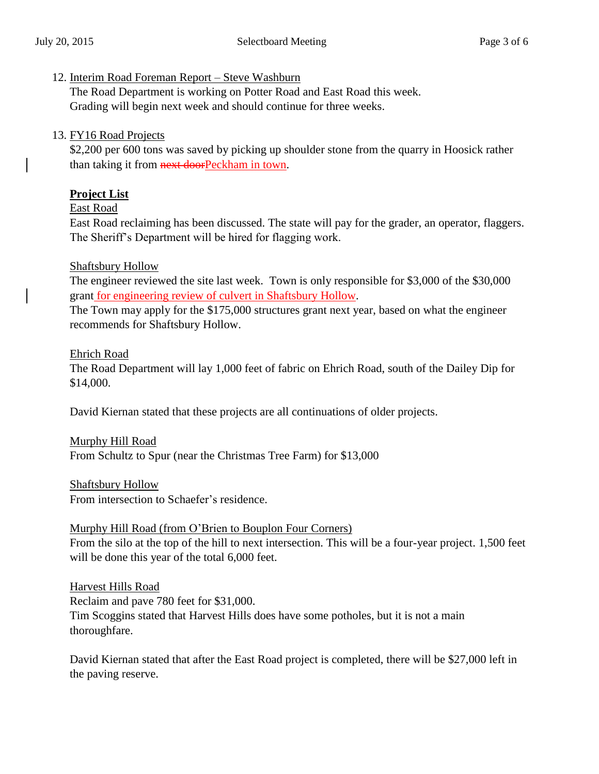#### 12. Interim Road Foreman Report – Steve Washburn

The Road Department is working on Potter Road and East Road this week. Grading will begin next week and should continue for three weeks.

## 13. FY16 Road Projects

\$2,200 per 600 tons was saved by picking up shoulder stone from the quarry in Hoosick rather than taking it from **next door** Peckham in town.

## **Project List**

## East Road

East Road reclaiming has been discussed. The state will pay for the grader, an operator, flaggers. The Sheriff's Department will be hired for flagging work.

## Shaftsbury Hollow

The engineer reviewed the site last week. Town is only responsible for \$3,000 of the \$30,000 grant for engineering review of culvert in Shaftsbury Hollow.

The Town may apply for the \$175,000 structures grant next year, based on what the engineer recommends for Shaftsbury Hollow.

#### Ehrich Road

The Road Department will lay 1,000 feet of fabric on Ehrich Road, south of the Dailey Dip for \$14,000.

David Kiernan stated that these projects are all continuations of older projects.

Murphy Hill Road From Schultz to Spur (near the Christmas Tree Farm) for \$13,000

Shaftsbury Hollow From intersection to Schaefer's residence.

## Murphy Hill Road (from O'Brien to Bouplon Four Corners)

From the silo at the top of the hill to next intersection. This will be a four-year project. 1,500 feet will be done this year of the total 6,000 feet.

Harvest Hills Road Reclaim and pave 780 feet for \$31,000. Tim Scoggins stated that Harvest Hills does have some potholes, but it is not a main thoroughfare.

David Kiernan stated that after the East Road project is completed, there will be \$27,000 left in the paving reserve.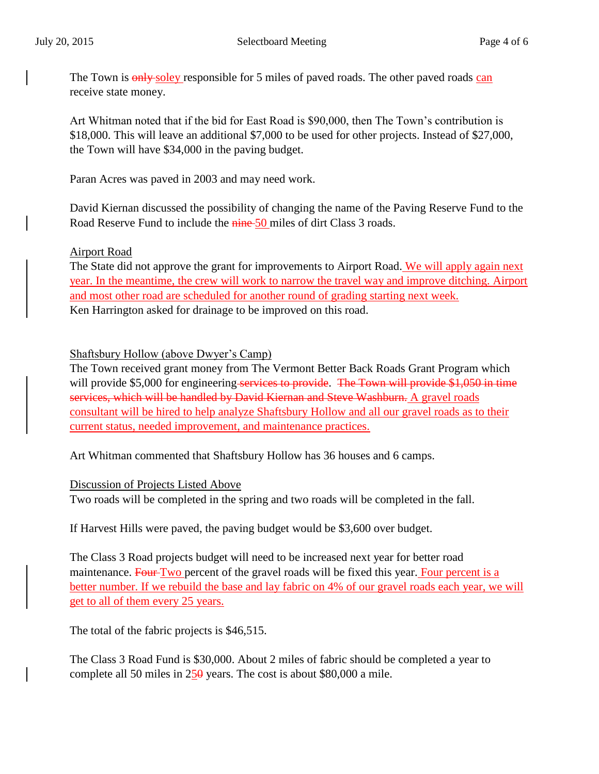The Town is **only-soley** responsible for 5 miles of paved roads. The other paved roads can receive state money.

Art Whitman noted that if the bid for East Road is \$90,000, then The Town's contribution is \$18,000. This will leave an additional \$7,000 to be used for other projects. Instead of \$27,000, the Town will have \$34,000 in the paving budget.

Paran Acres was paved in 2003 and may need work.

David Kiernan discussed the possibility of changing the name of the Paving Reserve Fund to the Road Reserve Fund to include the nine-50 miles of dirt Class 3 roads.

## Airport Road

The State did not approve the grant for improvements to Airport Road. We will apply again next year. In the meantime, the crew will work to narrow the travel way and improve ditching. Airport and most other road are scheduled for another round of grading starting next week. Ken Harrington asked for drainage to be improved on this road.

Shaftsbury Hollow (above Dwyer's Camp)

The Town received grant money from The Vermont Better Back Roads Grant Program which will provide \$5,000 for engineering services to provide. The Town will provide \$1,050 in time services, which will be handled by David Kiernan and Steve Washburn. A gravel roads consultant will be hired to help analyze Shaftsbury Hollow and all our gravel roads as to their current status, needed improvement, and maintenance practices.

Art Whitman commented that Shaftsbury Hollow has 36 houses and 6 camps.

Discussion of Projects Listed Above

Two roads will be completed in the spring and two roads will be completed in the fall.

If Harvest Hills were paved, the paving budget would be \$3,600 over budget.

The Class 3 Road projects budget will need to be increased next year for better road maintenance. Four Two percent of the gravel roads will be fixed this year. Four percent is a better number. If we rebuild the base and lay fabric on 4% of our gravel roads each year, we will get to all of them every 25 years.

The total of the fabric projects is \$46,515.

The Class 3 Road Fund is \$30,000. About 2 miles of fabric should be completed a year to complete all 50 miles in  $25\theta$  years. The cost is about \$80,000 a mile.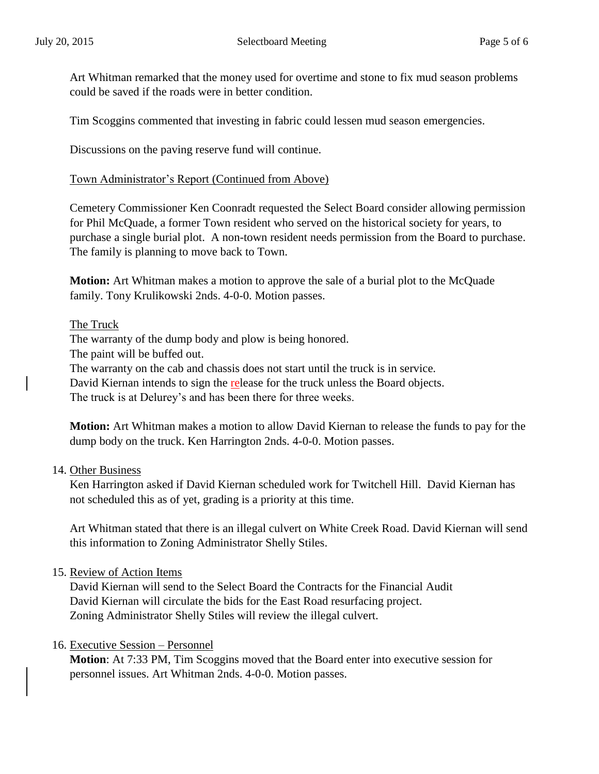Art Whitman remarked that the money used for overtime and stone to fix mud season problems could be saved if the roads were in better condition.

Tim Scoggins commented that investing in fabric could lessen mud season emergencies.

Discussions on the paving reserve fund will continue.

Town Administrator's Report (Continued from Above)

Cemetery Commissioner Ken Coonradt requested the Select Board consider allowing permission for Phil McQuade, a former Town resident who served on the historical society for years, to purchase a single burial plot. A non-town resident needs permission from the Board to purchase. The family is planning to move back to Town.

**Motion:** Art Whitman makes a motion to approve the sale of a burial plot to the McQuade family. Tony Krulikowski 2nds. 4-0-0. Motion passes.

#### The Truck

The warranty of the dump body and plow is being honored.

The paint will be buffed out.

The warranty on the cab and chassis does not start until the truck is in service.

David Kiernan intends to sign the release for the truck unless the Board objects.

The truck is at Delurey's and has been there for three weeks.

**Motion:** Art Whitman makes a motion to allow David Kiernan to release the funds to pay for the dump body on the truck. Ken Harrington 2nds. 4-0-0. Motion passes.

#### 14. Other Business

Ken Harrington asked if David Kiernan scheduled work for Twitchell Hill. David Kiernan has not scheduled this as of yet, grading is a priority at this time.

Art Whitman stated that there is an illegal culvert on White Creek Road. David Kiernan will send this information to Zoning Administrator Shelly Stiles.

#### 15. Review of Action Items

David Kiernan will send to the Select Board the Contracts for the Financial Audit David Kiernan will circulate the bids for the East Road resurfacing project. Zoning Administrator Shelly Stiles will review the illegal culvert.

## 16. Executive Session – Personnel

**Motion**: At 7:33 PM, Tim Scoggins moved that the Board enter into executive session for personnel issues. Art Whitman 2nds. 4-0-0. Motion passes.